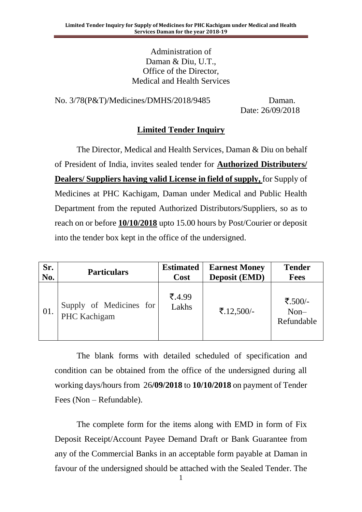Administration of Daman & Diu, U.T., Office of the Director, Medical and Health Services

No. 3/78(P&T)/Medicines/DMHS/2018/9485 Daman.

Date: 26/09/2018

### **Limited Tender Inquiry**

The Director, Medical and Health Services, Daman & Diu on behalf of President of India, invites sealed tender for **Authorized Distributers/ Dealers/ Suppliers having valid License in field of supply,** for Supply of Medicines at PHC Kachigam, Daman under Medical and Public Health Department from the reputed Authorized Distributors/Suppliers, so as to reach on or before **10/10/2018** upto 15.00 hours by Post/Courier or deposit into the tender box kept in the office of the undersigned.

| Sr. | <b>Particulars</b>                      | <b>Estimated</b> | <b>Earnest Money</b> | <b>Tender</b>                   |
|-----|-----------------------------------------|------------------|----------------------|---------------------------------|
| No. |                                         | Cost             | <b>Deposit (EMD)</b> | <b>Fees</b>                     |
| 01. | Supply of Medicines for<br>PHC Kachigam | ₹.4.99<br>Lakhs  | ₹.12,500/-           | ₹.500/-<br>$Non-$<br>Refundable |

The blank forms with detailed scheduled of specification and condition can be obtained from the office of the undersigned during all working days/hours from 26**/09/2018** to **10/10/2018** on payment of Tender Fees (Non – Refundable).

The complete form for the items along with EMD in form of Fix Deposit Receipt/Account Payee Demand Draft or Bank Guarantee from any of the Commercial Banks in an acceptable form payable at Daman in favour of the undersigned should be attached with the Sealed Tender. The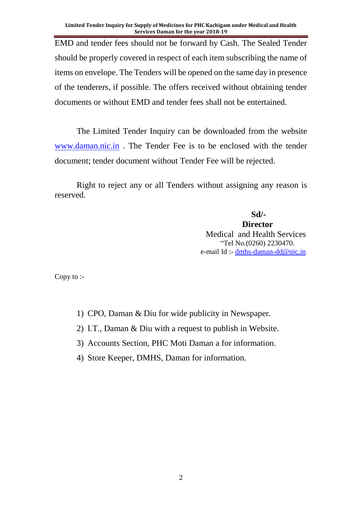EMD and tender fees should not be forward by Cash. The Sealed Tender should be properly covered in respect of each item subscribing the name of items on envelope. The Tenders will be opened on the same day in presence of the tenderers, if possible. The offers received without obtaining tender documents or without EMD and tender fees shall not be entertained.

The Limited Tender Inquiry can be downloaded from the website [www.daman.nic.in](http://www.daman.nic.in/) . The Tender Fee is to be enclosed with the tender document; tender document without Tender Fee will be rejected.

Right to reject any or all Tenders without assigning any reason is reserved.

**Sd/-**

**Director** Medical and Health Services "Tel No.(0260) 2230470. e-mail Id :- [dmhs-daman-dd@nic.in](mailto:dmhs-daman-dd@nic.in)

Copy to :-

- 1) CPO, Daman & Diu for wide publicity in Newspaper.
- 2) I.T., Daman & Diu with a request to publish in Website.
- 3) Accounts Section, PHC Moti Daman a for information.
- 4) Store Keeper, DMHS, Daman for information.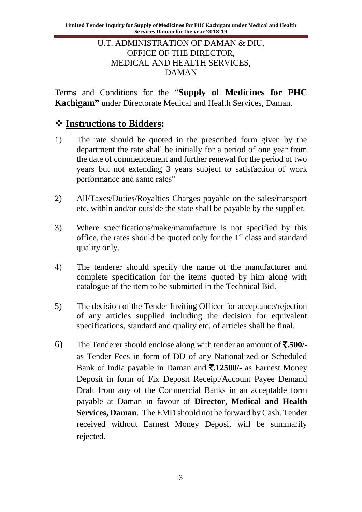### U.T. ADMINISTRATION OF DAMAN & DIU, OFFICE OF THE DIRECTOR, MEDICAL AND HEALTH SERVICES, DAMAN

Terms and Conditions for the "**Supply of Medicines for PHC Kachigam"** under Directorate Medical and Health Services, Daman.

## ❖ **Instructions to Bidders:**

- 1) The rate should be quoted in the prescribed form given by the department the rate shall be initially for a period of one year from the date of commencement and further renewal for the period of two years but not extending 3 years subject to satisfaction of work performance and same rates"
- 2) All/Taxes/Duties/Royalties Charges payable on the sales/transport etc. within and/or outside the state shall be payable by the supplier.
- 3) Where specifications/make/manufacture is not specified by this office, the rates should be quoted only for the 1st class and standard quality only.
- 4) The tenderer should specify the name of the manufacturer and complete specification for the items quoted by him along with catalogue of the item to be submitted in the Technical Bid.
- 5) The decision of the Tender Inviting Officer for acceptance/rejection of any articles supplied including the decision for equivalent specifications, standard and quality etc. of articles shall be final.
- 6) The Tenderer should enclose along with tender an amount of `**.500/** as Tender Fees in form of DD of any Nationalized or Scheduled Bank of India payable in Daman and `**.12500/-** as Earnest Money Deposit in form of Fix Deposit Receipt/Account Payee Demand Draft from any of the Commercial Banks in an acceptable form payable at Daman in favour of **Director**, **Medical and Health Services, Daman**. The EMD should not be forward by Cash. Tender received without Earnest Money Deposit will be summarily rejected.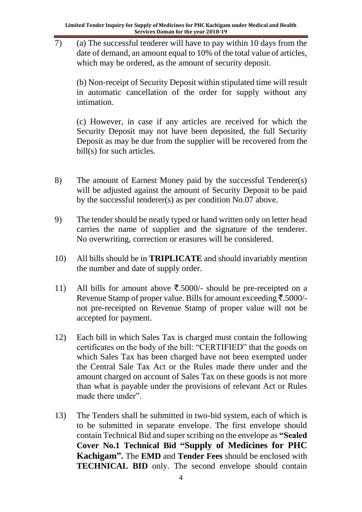$\overline{7}$  (a) The successful tenderer will have to pay within 10 days from the date of demand, an amount equal to 10% of the total value of articles, which may be ordered, as the amount of security deposit.

(b) Non-receipt of Security Deposit within stipulated time will result in automatic cancellation of the order for supply without any intimation.

(c) However, in case if any articles are received for which the Security Deposit may not have been deposited, the full Security Deposit as may be due from the supplier will be recovered from the bill(s) for such articles.

- 8) The amount of Earnest Money paid by the successful Tenderer(s) will be adjusted against the amount of Security Deposit to be paid by the successful tenderer(s) as per condition No.07 above.
- 9) The tender should be neatly typed or hand written only on letter head carries the name of supplier and the signature of the tenderer. No overwriting, correction or erasures will be considered.
- 10) All bills should be in **TRIPLICATE** and should invariably mention the number and date of supply order.
- 11) All bills for amount above  $\overline{\xi}$ .5000/- should be pre-receipted on a Revenue Stamp of proper value. Bills for amount exceeding  $\bar{\tau}$ .5000/not pre-receipted on Revenue Stamp of proper value will not be accepted for payment.
- 12) Each bill in which Sales Tax is charged must contain the following certificates on the body of the bill: "CERTIFIED" that the goods on which Sales Tax has been charged have not been exempted under the Central Sale Tax Act or the Rules made there under and the amount charged on account of Sales Tax on these goods is not more than what is payable under the provisions of relevant Act or Rules made there under".
- 13) The Tenders shall be submitted in two-bid system, each of which is to be submitted in separate envelope. The first envelope should contain Technical Bid and super scribing on the envelope as **"Sealed Cover No.1 Technical Bid "Supply of Medicines for PHC Kachigam".** The **EMD** and **Tender Fees** should be enclosed with **TECHNICAL BID** only. The second envelope should contain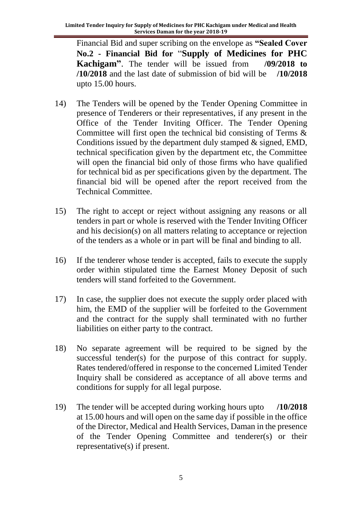Financial Bid and super scribing on the envelope as **"Sealed Cover No.2 - Financial Bid for** "**Supply of Medicines for PHC Kachigam"**. The tender will be issued from **/09/2018 to /10/2018** and the last date of submission of bid will be **/10/2018** upto 15.00 hours.

- 14) The Tenders will be opened by the Tender Opening Committee in presence of Tenderers or their representatives, if any present in the Office of the Tender Inviting Officer. The Tender Opening Committee will first open the technical bid consisting of Terms & Conditions issued by the department duly stamped & signed, EMD, technical specification given by the department etc, the Committee will open the financial bid only of those firms who have qualified for technical bid as per specifications given by the department. The financial bid will be opened after the report received from the Technical Committee.
- 15) The right to accept or reject without assigning any reasons or all tenders in part or whole is reserved with the Tender Inviting Officer and his decision(s) on all matters relating to acceptance or rejection of the tenders as a whole or in part will be final and binding to all.
- 16) If the tenderer whose tender is accepted, fails to execute the supply order within stipulated time the Earnest Money Deposit of such tenders will stand forfeited to the Government.
- 17) In case, the supplier does not execute the supply order placed with him, the EMD of the supplier will be forfeited to the Government and the contract for the supply shall terminated with no further liabilities on either party to the contract.
- 18) No separate agreement will be required to be signed by the successful tender(s) for the purpose of this contract for supply. Rates tendered/offered in response to the concerned Limited Tender Inquiry shall be considered as acceptance of all above terms and conditions for supply for all legal purpose.
- 19) The tender will be accepted during working hours upto **/10/2018** at 15.00 hours and will open on the same day if possible in the office of the Director, Medical and Health Services, Daman in the presence of the Tender Opening Committee and tenderer(s) or their representative(s) if present.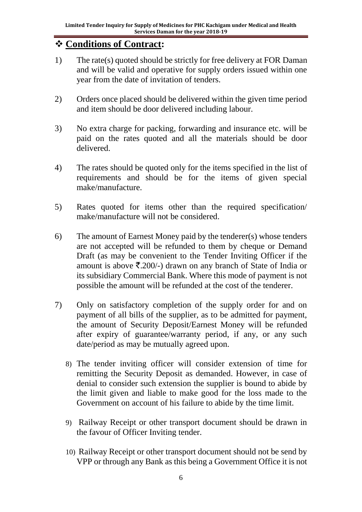# ❖ **Conditions of Contract:**

- 1) The rate(s) quoted should be strictly for free delivery at FOR Daman and will be valid and operative for supply orders issued within one year from the date of invitation of tenders.
- 2) Orders once placed should be delivered within the given time period and item should be door delivered including labour.
- 3) No extra charge for packing, forwarding and insurance etc. will be paid on the rates quoted and all the materials should be door delivered.
- 4) The rates should be quoted only for the items specified in the list of requirements and should be for the items of given special make/manufacture.
- 5) Rates quoted for items other than the required specification/ make/manufacture will not be considered.
- 6) The amount of Earnest Money paid by the tenderer(s) whose tenders are not accepted will be refunded to them by cheque or Demand Draft (as may be convenient to the Tender Inviting Officer if the amount is above  $\bar{\mathcal{F}}$ . 200/-) drawn on any branch of State of India or its subsidiary Commercial Bank. Where this mode of payment is not possible the amount will be refunded at the cost of the tenderer.
- 7) Only on satisfactory completion of the supply order for and on payment of all bills of the supplier, as to be admitted for payment, the amount of Security Deposit/Earnest Money will be refunded after expiry of guarantee/warranty period, if any, or any such date/period as may be mutually agreed upon.
	- 8) The tender inviting officer will consider extension of time for remitting the Security Deposit as demanded. However, in case of denial to consider such extension the supplier is bound to abide by the limit given and liable to make good for the loss made to the Government on account of his failure to abide by the time limit.
	- 9) Railway Receipt or other transport document should be drawn in the favour of Officer Inviting tender.
	- 10) Railway Receipt or other transport document should not be send by VPP or through any Bank as this being a Government Office it is not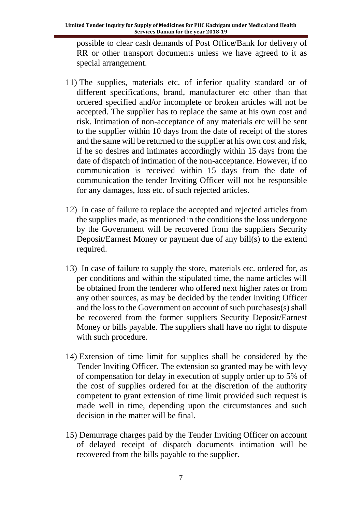possible to clear cash demands of Post Office/Bank for delivery of RR or other transport documents unless we have agreed to it as special arrangement.

- 11) The supplies, materials etc. of inferior quality standard or of different specifications, brand, manufacturer etc other than that ordered specified and/or incomplete or broken articles will not be accepted. The supplier has to replace the same at his own cost and risk. Intimation of non-acceptance of any materials etc will be sent to the supplier within 10 days from the date of receipt of the stores and the same will be returned to the supplier at his own cost and risk, if he so desires and intimates accordingly within 15 days from the date of dispatch of intimation of the non-acceptance. However, if no communication is received within 15 days from the date of communication the tender Inviting Officer will not be responsible for any damages, loss etc. of such rejected articles.
- 12) In case of failure to replace the accepted and rejected articles from the supplies made, as mentioned in the conditions the loss undergone by the Government will be recovered from the suppliers Security Deposit/Earnest Money or payment due of any bill(s) to the extend required.
- 13) In case of failure to supply the store, materials etc. ordered for, as per conditions and within the stipulated time, the name articles will be obtained from the tenderer who offered next higher rates or from any other sources, as may be decided by the tender inviting Officer and the loss to the Government on account of such purchases(s) shall be recovered from the former suppliers Security Deposit/Earnest Money or bills payable. The suppliers shall have no right to dispute with such procedure.
- 14) Extension of time limit for supplies shall be considered by the Tender Inviting Officer. The extension so granted may be with levy of compensation for delay in execution of supply order up to 5% of the cost of supplies ordered for at the discretion of the authority competent to grant extension of time limit provided such request is made well in time, depending upon the circumstances and such decision in the matter will be final.
- 15) Demurrage charges paid by the Tender Inviting Officer on account of delayed receipt of dispatch documents intimation will be recovered from the bills payable to the supplier.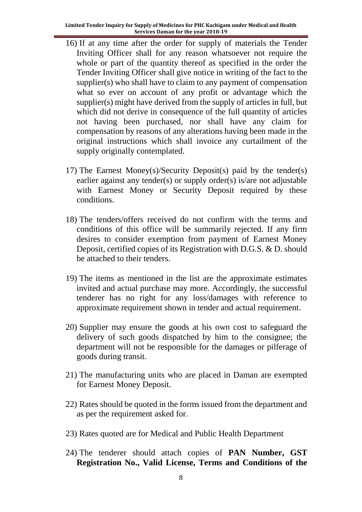- 16) If at any time after the order for supply of materials the Tender Inviting Officer shall for any reason whatsoever not require the whole or part of the quantity thereof as specified in the order the Tender Inviting Officer shall give notice in writing of the fact to the supplier(s) who shall have to claim to any payment of compensation what so ever on account of any profit or advantage which the supplier(s) might have derived from the supply of articles in full, but which did not derive in consequence of the full quantity of articles not having been purchased, nor shall have any claim for compensation by reasons of any alterations having been made in the original instructions which shall invoice any curtailment of the supply originally contemplated.
- 17) The Earnest Money(s)/Security Deposit(s) paid by the tender(s) earlier against any tender(s) or supply order(s) is/are not adjustable with Earnest Money or Security Deposit required by these conditions.
- 18) The tenders/offers received do not confirm with the terms and conditions of this office will be summarily rejected. If any firm desires to consider exemption from payment of Earnest Money Deposit, certified copies of its Registration with D.G.S. & D. should be attached to their tenders.
- 19) The items as mentioned in the list are the approximate estimates invited and actual purchase may more. Accordingly, the successful tenderer has no right for any loss/damages with reference to approximate requirement shown in tender and actual requirement.
- 20) Supplier may ensure the goods at his own cost to safeguard the delivery of such goods dispatched by him to the consignee; the department will not be responsible for the damages or pilferage of goods during transit.
- 21) The manufacturing units who are placed in Daman are exempted for Earnest Money Deposit.
- 22) Rates should be quoted in the forms issued from the department and as per the requirement asked for.
- 23) Rates quoted are for Medical and Public Health Department
- 24) The tenderer should attach copies of **PAN Number, GST Registration No., Valid License, Terms and Conditions of the**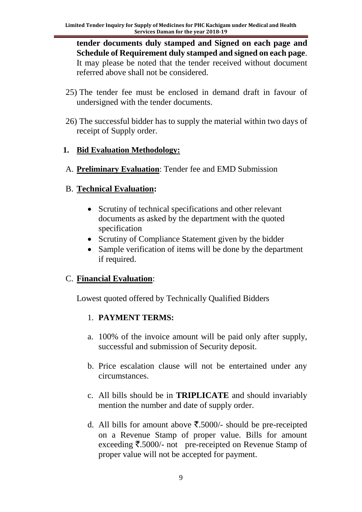**tender documents duly stamped and Signed on each page and Schedule of Requirement duly stamped and signed on each page**. It may please be noted that the tender received without document referred above shall not be considered.

- 25) The tender fee must be enclosed in demand draft in favour of undersigned with the tender documents.
- 26) The successful bidder has to supply the material within two days of receipt of Supply order.

### **1. Bid Evaluation Methodology:**

A. **Preliminary Evaluation**: Tender fee and EMD Submission

## B. **Technical Evaluation:**

- Scrutiny of technical specifications and other relevant documents as asked by the department with the quoted specification
- Scrutiny of Compliance Statement given by the bidder
- Sample verification of items will be done by the department if required.

## C. **Financial Evaluation**:

Lowest quoted offered by Technically Qualified Bidders

## 1. **PAYMENT TERMS:**

- a. 100% of the invoice amount will be paid only after supply, successful and submission of Security deposit.
- b. Price escalation clause will not be entertained under any circumstances.
- c. All bills should be in **TRIPLICATE** and should invariably mention the number and date of supply order.
- d. All bills for amount above  $\overline{\xi}$ .5000/- should be pre-receipted on a Revenue Stamp of proper value. Bills for amount exceeding  $\overline{\xi}$ .5000/- not pre-receipted on Revenue Stamp of proper value will not be accepted for payment.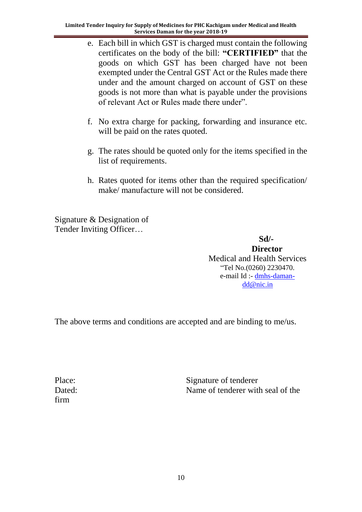- e. Each bill in which GST is charged must contain the following certificates on the body of the bill: **"CERTIFIED"** that the goods on which GST has been charged have not been exempted under the Central GST Act or the Rules made there under and the amount charged on account of GST on these goods is not more than what is payable under the provisions of relevant Act or Rules made there under".
- f. No extra charge for packing, forwarding and insurance etc. will be paid on the rates quoted.
- g. The rates should be quoted only for the items specified in the list of requirements.
- h. Rates quoted for items other than the required specification/ make/ manufacture will not be considered.

Signature & Designation of Tender Inviting Officer…

 **Sd/- Director** Medical and Health Services "Tel No.(0260) 2230470. e-mail Id :- [dmhs-daman](mailto:dmhs-daman-dd@nic.in)[dd@nic.in](mailto:dmhs-daman-dd@nic.in)

The above terms and conditions are accepted and are binding to me/us.

firm

Place: Signature of tenderer Dated: Name of tenderer with seal of the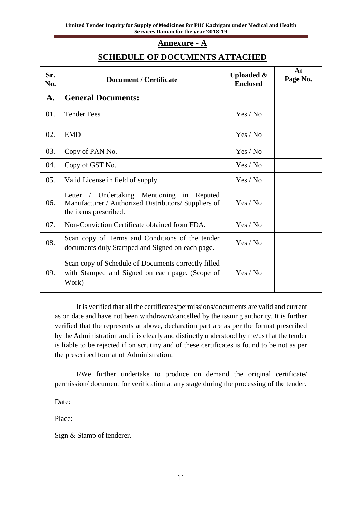#### **Annexure - A**

### **SCHEDULE OF DOCUMENTS ATTACHED**

| Sr.<br>No. | <b>Document / Certificate</b>                                                                                               | <b>Uploaded &amp;</b><br><b>Enclosed</b> | At<br>Page No. |
|------------|-----------------------------------------------------------------------------------------------------------------------------|------------------------------------------|----------------|
| A.         | <b>General Documents:</b>                                                                                                   |                                          |                |
| 01.        | <b>Tender Fees</b>                                                                                                          | Yes / No                                 |                |
| 02.        | <b>EMD</b>                                                                                                                  | Yes / No                                 |                |
| 03.        | Copy of PAN No.                                                                                                             | Yes / No                                 |                |
| 04.        | Copy of GST No.                                                                                                             | Yes / No                                 |                |
| 05.        | Valid License in field of supply.                                                                                           | Yes / No                                 |                |
| 06.        | Letter / Undertaking Mentioning in Reputed<br>Manufacturer / Authorized Distributors/ Suppliers of<br>the items prescribed. | Yes / No                                 |                |
| 07.        | Non-Conviction Certificate obtained from FDA.                                                                               | Yes / No                                 |                |
| 08.        | Scan copy of Terms and Conditions of the tender<br>documents duly Stamped and Signed on each page.                          | Yes / No                                 |                |
| 09.        | Scan copy of Schedule of Documents correctly filled<br>with Stamped and Signed on each page. (Scope of<br>Work)             | Yes / No                                 |                |

It is verified that all the certificates/permissions/documents are valid and current as on date and have not been withdrawn/cancelled by the issuing authority. It is further verified that the represents at above, declaration part are as per the format prescribed by the Administration and it is clearly and distinctly understood by me/us that the tender is liable to be rejected if on scrutiny and of these certificates is found to be not as per the prescribed format of Administration.

I/We further undertake to produce on demand the original certificate/ permission/ document for verification at any stage during the processing of the tender.

Date:

Place:

Sign & Stamp of tenderer.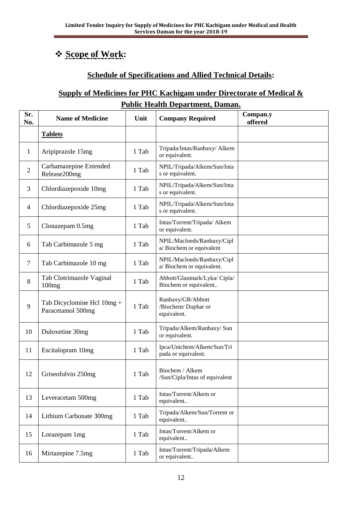# ❖ **Scope of Work:**

## **Schedule of Specifications and Allied Technical Details:**

## **Supply of Medicines for PHC Kachigam under Directorate of Medical & Public Health Department, Daman.**

| Sr.<br>No.     | <b>Name of Medicine</b>                         | Unit  | <b>Company Required</b>                                 | Compan.y<br>offered |
|----------------|-------------------------------------------------|-------|---------------------------------------------------------|---------------------|
|                | <b>Tablets</b>                                  |       |                                                         |                     |
| 1              | Aripiprazole 15mg                               | 1 Tab | Tripada/Intas/Ranbaxy/ Alkem<br>or equivalent.          |                     |
| $\overline{2}$ | Carbamazepine Extended<br>Release200mg          | 1 Tab | NPIL/Tripada/Alkem/Sun/Inta<br>s or equivalent.         |                     |
| 3              | Chlordiazepoxide 10mg                           | 1 Tab | NPIL/Tripada/Alkem/Sun/Inta<br>s or equivalent.         |                     |
| 4              | Chlordiazepoxide 25mg                           | 1 Tab | NPIL/Tripada/Alkem/Sun/Inta<br>s or equivalent.         |                     |
| 5              | Clonazepam 0.5mg                                | 1 Tab | Intas/Torrent/Tripada/ Alkem<br>or equivalent.          |                     |
| 6              | Tab Carbimazole 5 mg                            | 1 Tab | NPIL/Macloeds/Ranbaxy/Cipl<br>a/Biochem or equivalent   |                     |
| 7              | Tab Carbimazole 10 mg                           | 1 Tab | NPIL/Macloeds/Ranbaxy/Cipl<br>a/Biochem or equivalent.  |                     |
| 8              | Tab Clotrimazole Vaginal<br>100mg               | 1 Tab | Abbott/Glanmark/Lyka/ Cipla/<br>Biochem or equivalent   |                     |
| 9              | Tab Dicyclomine Hcl 10mg +<br>Paracetamol 500mg | 1 Tab | Ranbaxy/GR/Abbott<br>/Biochem/ Duphar or<br>equivalent. |                     |
| 10             | Duloxetine 30mg                                 | 1 Tab | Tripada/Alkem/Ranbaxy/ Sun<br>or equivalent.            |                     |
| 11             | Escitalopram 10mg                               | 1 Tab | Ipca/Unichem/Alkem/Sun/Tri<br>pada or equivalent.       |                     |
| 12             | Griseofulvin 250mg                              | 1 Tab | Biochem / Alkem<br>/Sun/Cipla/Intas of equivalent       |                     |
| 13             | Leveracetam 500mg                               | 1 Tab | Intas/Torrent/Alkem or<br>equivalent                    |                     |
| 14             | Lithium Carbonate 300mg                         | 1 Tab | Tripada/Alkem/Sun/Torrent or<br>equivalent              |                     |
| 15             | Lorazepam 1mg                                   | 1 Tab | Intas/Torrent/Alkem or<br>equivalent                    |                     |
| 16             | Mirtazepine 7.5mg                               | 1 Tab | Intas/Torrent/Tripada/Alkem<br>or equivalent            |                     |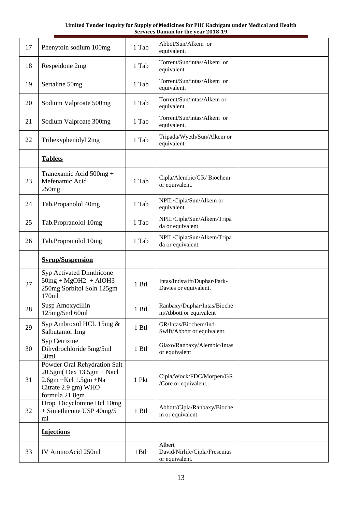| 17 | Phenytoin sodium 100mg                                                                                                         | 1 Tab | Abbot/Sun/Alkem or<br>equivalent.                     |  |
|----|--------------------------------------------------------------------------------------------------------------------------------|-------|-------------------------------------------------------|--|
| 18 | Respeidone 2mg                                                                                                                 | 1 Tab | Torrent/Sun/intas/Alkem or<br>equivalent.             |  |
| 19 | Sertaline 50mg                                                                                                                 | 1 Tab | Torrent/Sun/intas/Alkem or<br>equivalent.             |  |
| 20 | Sodium Valproate 500mg                                                                                                         | 1 Tab | Torrent/Sun/intas/Alkem or<br>equivalent.             |  |
| 21 | Sodium Valproate 300mg                                                                                                         | 1 Tab | Torrent/Sun/intas/Alkem or<br>equivalent.             |  |
| 22 | Trihexyphenidyl 2mg                                                                                                            | 1 Tab | Tripada/Wyeth/Sun/Alkem or<br>equivalent.             |  |
|    | <b>Tablets</b>                                                                                                                 |       |                                                       |  |
| 23 | Tranexamic Acid 500mg +<br>Mefenamic Acid<br>250mg                                                                             | 1 Tab | Cipla/Alembic/GR/Biochem<br>or equivalent.            |  |
| 24 | Tab.Propanolol 40mg                                                                                                            | 1 Tab | NPIL/Cipla/Sun/Alkem or<br>equivalent.                |  |
| 25 | Tab.Propranolol 10mg                                                                                                           | 1 Tab | NPIL/Cipla/Sun/Alkem/Tripa<br>da or equivalent.       |  |
| 26 | Tab.Propranolol 10mg                                                                                                           | 1 Tab | NPIL/Cipla/Sun/Alkem/Tripa<br>da or equivalent.       |  |
|    | <b>Syrup/Suspension</b>                                                                                                        |       |                                                       |  |
| 27 | <b>Syp Activated Dimthicone</b><br>$50mg + MgOH2 + AlOH3$<br>250mg Sorbitol Soln 125gm<br>170ml                                | 1 Btl | Intas/Indswift/Duphar/Park-<br>Davies or equivalent.  |  |
|    |                                                                                                                                |       |                                                       |  |
| 28 | Susp Amoxycillin<br>125mg/5ml 60ml                                                                                             | 1 Btl | Ranbaxy/Duphar/Intas/Bioche<br>m/Abbott or equivalent |  |
| 29 | Syp Ambroxol HCL 15mg &<br>Salbutamol 1mg                                                                                      | 1 Btl | GR/Intas/Biochem/Ind-<br>Swift/Abbott or equivalent.  |  |
| 30 | Syp Cetrizine<br>Dihydrochloride 5mg/5ml<br>30ml                                                                               | 1 Btl | Glaxo/Ranbaxy/Alembic/Intas<br>or equivalent          |  |
| 31 | Powder Oral Rehydration Salt<br>$20.5gm(Dex 13.5gm + Nacl$<br>$2.6gm + Kcl$ 1.5gm +Na<br>Citrate 2.9 gm) WHO<br>formula 21.8gm | 1 Pkt | Cipla/Wock/FDC/Morpen/GR<br>/Core or equivalent       |  |
| 32 | Drop Dicyclomine Hcl 10mg<br>+ Simethicone USP 40mg/5<br>ml                                                                    | 1 Btl | Abbott/Cipla/Ranbaxy/Bioche<br>m or equivalent        |  |
|    | <b>Injections</b>                                                                                                              |       |                                                       |  |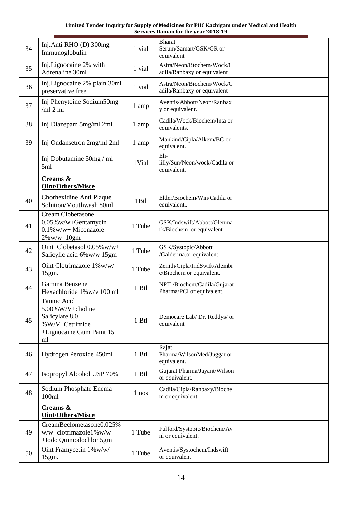| 34 | Inj.Anti RHO (D) 300mg<br>Immunoglobulin                                                              | 1 vial  | <b>Bharat</b><br>Serum/Samart/GSK/GR or<br>equivalent    |  |
|----|-------------------------------------------------------------------------------------------------------|---------|----------------------------------------------------------|--|
| 35 | Inj.Lignocaine 2% with<br>Adrenaline 30ml                                                             | 1 vial  | Astra/Neon/Biochem/Wock/C<br>adila/Ranbaxy or equivalent |  |
| 36 | Inj.Lignocaine 2% plain 30ml<br>preservative free                                                     | 1 vial  | Astra/Neon/Biochem/Wock/C<br>adila/Ranbaxy or equivalent |  |
| 37 | Inj Phenytoine Sodium50mg<br>/ml 2 ml                                                                 | 1 amp   | Aventis/Abbott/Neon/Ranbax<br>y or equivalent.           |  |
| 38 | Inj Diazepam 5mg/ml.2ml.                                                                              | 1 amp   | Cadila/Wock/Biochem/Inta or<br>equivalents.              |  |
| 39 | Inj Ondansetron 2mg/ml 2ml                                                                            | 1 amp   | Mankind/Cipla/Alkem/BC or<br>equivalent.                 |  |
|    | Inj Dobutamine 50mg / ml<br>5ml                                                                       | 1Vial   | Eli-<br>lilly/Sun/Neon/wock/Cadila or<br>equivalent.     |  |
|    | Creams &<br>Oint/Others/Misce                                                                         |         |                                                          |  |
| 40 | Chorhexidine Anti Plaque<br>Solution/Mouthwash 80ml                                                   | 1Btl    | Elder/Biochem/Win/Cadila or<br>equivalent                |  |
| 41 | <b>Cream Clobetasone</b><br>0.05% w/w+Gentamycin<br>$0.1\%$ w/w+ Miconazole<br>$2\%$ w/w $10gm$       | 1 Tube  | GSK/Indswift/Abbott/Glenma<br>rk/Biochem .or equivalent  |  |
| 42 | Oint Clobetasol $0.05\%$ w/w+<br>Salicylic acid 6% w/w 15gm                                           | 1 Tube  | GSK/Systopic/Abbott<br>/Galderma.or equivalent           |  |
| 43 | Oint Clotrimazole 1%w/w/<br>15gm.                                                                     | 1 Tube  | Zenith/Cipla/IndSwift/Alembi<br>c/Biochem or equivalent. |  |
| 44 | Gamma Benzene<br>Hexachloride 1% w/v 100 ml                                                           | $1$ Btl | NPIL/Biochem/Cadila/Gujarat<br>Pharma/PCI or equivalent. |  |
| 45 | Tannic Acid<br>5.00%W/V+choline<br>Salicylate 8.0<br>%W/V+Cetrimide<br>+Lignocaine Gum Paint 15<br>ml | 1 Btl   | Democare Lab/ Dr. Reddys/ or<br>equivalent               |  |
| 46 | Hydrogen Peroxide 450ml                                                                               | 1 Btl   | Rajat<br>Pharma/WilsonMed/Juggat or<br>equivalent.       |  |
| 47 | Isopropyl Alcohol USP 70%                                                                             | 1 Btl   | Gujarat Pharma/Jayant/Wilson<br>or equivalent.           |  |
| 48 | Sodium Phosphate Enema<br>100ml                                                                       | 1 nos   | Cadila/Cipla/Ranbaxy/Bioche<br>m or equivalent.          |  |
|    | Creams &<br><b>Oint/Others/Misce</b>                                                                  |         |                                                          |  |
| 49 | CreamBeclometasone0.025%<br>w/w+clotrimazole1%w/w<br>+Iodo Quiniodochlor 5gm                          | 1 Tube  | Fulford/Systopic/Biochem/Av<br>ni or equivalent.         |  |
| 50 | Oint Framycetin 1%w/w/<br>15gm.                                                                       | 1 Tube  | Aventis/Systochem/Indswift<br>or equivalent              |  |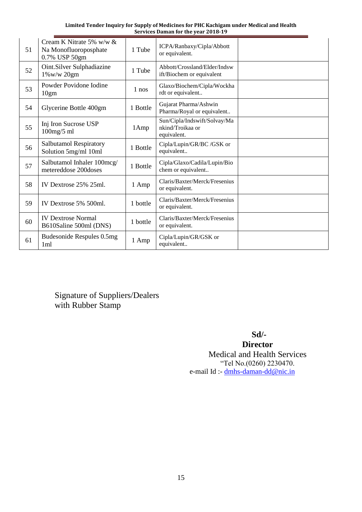| 51 | Cream K Nitrate 5% w/w $\&$<br>Na Monofluoroposphate<br>0.7% USP 50gm | 1 Tube   | ICPA/Ranbaxy/Cipla/Abbott<br>or equivalent.                     |  |
|----|-----------------------------------------------------------------------|----------|-----------------------------------------------------------------|--|
| 52 | Oint.Silver Sulphadiazine<br>1%w/w 20gm                               | 1 Tube   | Abbott/Crossland/Elder/Indsw<br>ift/Biochem or equivalent       |  |
| 53 | Powder Povidone Iodine<br>10gm                                        | 1 nos    | Glaxo/Biochem/Cipla/Wockha<br>rdt or equivalent                 |  |
| 54 | Glycerine Bottle 400gm                                                | 1 Bottle | Gujarat Pharma/Ashwin<br>Pharma/Royal or equivalent             |  |
| 55 | Inj Iron Sucrose USP<br>$100$ mg/5 ml                                 | 1Amp     | Sun/Cipla/Indswift/Solvay/Ma<br>nkind/Troikaa or<br>equivalent. |  |
| 56 | <b>Salbutamol Respiratory</b><br>Solution 5mg/ml 10ml                 | 1 Bottle | Cipla/Lupin/GR/BC /GSK or<br>equivalent                         |  |
| 57 | Salbutamol Inhaler 100mcg/<br>metereddose 200doses                    | 1 Bottle | Cipla/Glaxo/Cadila/Lupin/Bio<br>chem or equivalent              |  |
| 58 | IV Dextrose 25% 25ml.                                                 | 1 Amp    | Claris/Baxter/Merck/Fresenius<br>or equivalent.                 |  |
| 59 | IV Dextrose 5% 500ml.                                                 | 1 bottle | Claris/Baxter/Merck/Fresenius<br>or equivalent.                 |  |
| 60 | <b>IV Dextrose Normal</b><br>B610Saline 500ml (DNS)                   | 1 bottle | Claris/Baxter/Merck/Fresenius<br>or equivalent.                 |  |
| 61 | Budesonide Respules 0.5mg<br>1 <sub>ml</sub>                          | 1 Amp    | Cipla/Lupin/GR/GSK or<br>equivalent                             |  |

Signature of Suppliers/Dealers with Rubber Stamp

## **Sd/-**

**Director** Medical and Health Services "Tel No.(0260) 2230470. e-mail Id :- [dmhs-daman-dd@nic.in](mailto:dmhs-daman-dd@nic.in)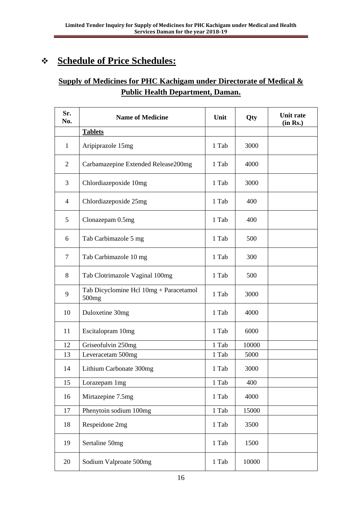# ❖ **Schedule of Price Schedules:**

# **Supply of Medicines for PHC Kachigam under Directorate of Medical & Public Health Department, Daman.**

| Sr.<br>No.     | <b>Name of Medicine</b>                                     | Unit  | Qty   | <b>Unit rate</b><br>(in Rs.) |
|----------------|-------------------------------------------------------------|-------|-------|------------------------------|
|                | <b>Tablets</b>                                              |       |       |                              |
| $\mathbf{1}$   | Aripiprazole 15mg                                           | 1 Tab | 3000  |                              |
| $\overline{2}$ | Carbamazepine Extended Release200mg                         | 1 Tab | 4000  |                              |
| 3              | Chlordiazepoxide 10mg                                       | 1 Tab | 3000  |                              |
| 4              | Chlordiazepoxide 25mg                                       | 1 Tab | 400   |                              |
| 5              | Clonazepam 0.5mg                                            | 1 Tab | 400   |                              |
| 6              | Tab Carbimazole 5 mg                                        | 1 Tab | 500   |                              |
| $\tau$         | Tab Carbimazole 10 mg                                       | 1 Tab | 300   |                              |
| 8              | Tab Clotrimazole Vaginal 100mg                              | 1 Tab | 500   |                              |
| 9              | Tab Dicyclomine Hcl 10mg + Paracetamol<br>500 <sub>mg</sub> | 1 Tab | 3000  |                              |
| 10             | Duloxetine 30mg                                             | 1 Tab | 4000  |                              |
| 11             | Escitalopram 10mg                                           | 1 Tab | 6000  |                              |
| 12             | Griseofulvin 250mg                                          | 1 Tab | 10000 |                              |
| 13             | Leveracetam 500mg                                           | 1 Tab | 5000  |                              |
| 14             | Lithium Carbonate 300mg                                     | 1 Tab | 3000  |                              |
| 15             | Lorazepam 1mg                                               | 1 Tab | 400   |                              |
| 16             | Mirtazepine 7.5mg                                           | 1 Tab | 4000  |                              |
| 17             | Phenytoin sodium 100mg                                      | 1 Tab | 15000 |                              |
| 18             | Respeidone 2mg                                              | 1 Tab | 3500  |                              |
| 19             | Sertaline 50mg                                              | 1 Tab | 1500  |                              |
| 20             | Sodium Valproate 500mg                                      | 1 Tab | 10000 |                              |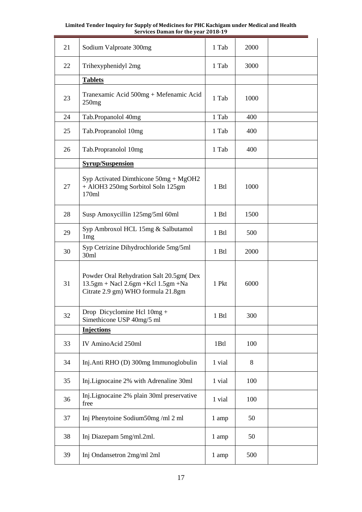| 21 | Sodium Valproate 300mg                                                                                                   | 1 Tab  | 2000 |  |
|----|--------------------------------------------------------------------------------------------------------------------------|--------|------|--|
| 22 | Trihexyphenidyl 2mg                                                                                                      | 1 Tab  | 3000 |  |
|    | <b>Tablets</b>                                                                                                           |        |      |  |
| 23 | Tranexamic Acid 500mg + Mefenamic Acid<br>250mg                                                                          |        | 1000 |  |
| 24 | Tab.Propanolol 40mg                                                                                                      | 1 Tab  | 400  |  |
| 25 | Tab.Propranolol 10mg                                                                                                     | 1 Tab  | 400  |  |
| 26 | Tab.Propranolol 10mg                                                                                                     | 1 Tab  | 400  |  |
|    | <b>Syrup/Suspension</b>                                                                                                  |        |      |  |
| 27 | Syp Activated Dimthicone $50mg + MgOH2$<br>+ AlOH3 250mg Sorbitol Soln 125gm<br>170ml                                    | 1 Btl  | 1000 |  |
| 28 | Susp Amoxycillin 125mg/5ml 60ml                                                                                          | 1 Btl  | 1500 |  |
| 29 | Syp Ambroxol HCL 15mg & Salbutamol<br>1 <sub>mg</sub>                                                                    | 1 Btl  | 500  |  |
| 30 | Syp Cetrizine Dihydrochloride 5mg/5ml<br>30ml                                                                            | 1 Btl  | 2000 |  |
| 31 | Powder Oral Rehydration Salt 20.5gm (Dex<br>$13.5gm + Nacl 2.6gm + Kcl 1.5gm + Na$<br>Citrate 2.9 gm) WHO formula 21.8gm | 1 Pkt  | 6000 |  |
| 32 | Drop Dicyclomine Hcl $10mg +$<br>Simethicone USP 40mg/5 ml                                                               | 1 Btl  | 300  |  |
|    | <b>Injections</b>                                                                                                        |        |      |  |
| 33 | IV AminoAcid 250ml                                                                                                       | 1Btl   | 100  |  |
| 34 | Inj.Anti RHO (D) 300mg Immunoglobulin                                                                                    | 1 vial | 8    |  |
| 35 | Inj.Lignocaine 2% with Adrenaline 30ml                                                                                   | 1 vial | 100  |  |
| 36 | Inj.Lignocaine 2% plain 30ml preservative<br>free                                                                        | 1 vial | 100  |  |
| 37 | Inj Phenytoine Sodium50mg/ml 2 ml                                                                                        | 1 amp  | 50   |  |
| 38 | Inj Diazepam 5mg/ml.2ml.                                                                                                 | 1 amp  | 50   |  |
| 39 | Inj Ondansetron 2mg/ml 2ml                                                                                               | 1 amp  | 500  |  |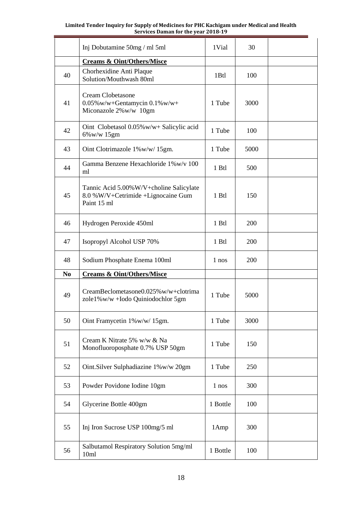|                | Inj Dobutamine 50mg / ml 5ml                                                                  | 1Vial    | 30   |  |
|----------------|-----------------------------------------------------------------------------------------------|----------|------|--|
|                | <b>Creams &amp; Oint/Others/Misce</b>                                                         |          |      |  |
| 40             | Chorhexidine Anti Plaque<br>Solution/Mouthwash 80ml                                           | 1Btl     | 100  |  |
| 41             | <b>Cream Clobetasone</b><br>$0.05\%$ w/w+Gentamycin $0.1\%$ w/w+<br>Miconazole 2%w/w 10gm     | 1 Tube   | 3000 |  |
| 42             | Oint Clobetasol 0.05% w/w+ Salicylic acid<br>6%w/w 15gm                                       | 1 Tube   | 100  |  |
| 43             | Oint Clotrimazole 1%w/w/15gm.                                                                 | 1 Tube   | 5000 |  |
| 44             | Gamma Benzene Hexachloride 1% w/v 100<br>ml                                                   | 1 Btl    | 500  |  |
| 45             | Tannic Acid 5.00% W/V+choline Salicylate<br>8.0 %W/V+Cetrimide +Lignocaine Gum<br>Paint 15 ml | 1 Btl    | 150  |  |
| 46             | Hydrogen Peroxide 450ml                                                                       | 1 Btl    | 200  |  |
| 47             | Isopropyl Alcohol USP 70%                                                                     | 1 Btl    | 200  |  |
| 48             | Sodium Phosphate Enema 100ml                                                                  | 1 nos    | 200  |  |
| N <sub>0</sub> | <b>Creams &amp; Oint/Others/Misce</b>                                                         |          |      |  |
| 49             | CreamBeclometasone $0.025\%$ w/w+clotrima<br>zole1%w/w +Iodo Quiniodochlor 5gm                | 1 Tube   | 5000 |  |
| 50             | Oint Framycetin 1%w/w/15gm.                                                                   | 1 Tube   | 3000 |  |
| 51             | Cream K Nitrate 5% w/w & Na<br>Monofluoroposphate 0.7% USP 50gm                               | 1 Tube   | 150  |  |
| 52             | Oint.Silver Sulphadiazine 1%w/w 20gm                                                          | 1 Tube   | 250  |  |
| 53             | Powder Povidone Iodine 10gm                                                                   | 1 nos    | 300  |  |
| 54             | Glycerine Bottle 400gm                                                                        | 1 Bottle | 100  |  |
| 55             | Inj Iron Sucrose USP 100mg/5 ml                                                               | 1Amp     | 300  |  |
| 56             | Salbutamol Respiratory Solution 5mg/ml<br>10 <sub>m1</sub>                                    | 1 Bottle | 100  |  |